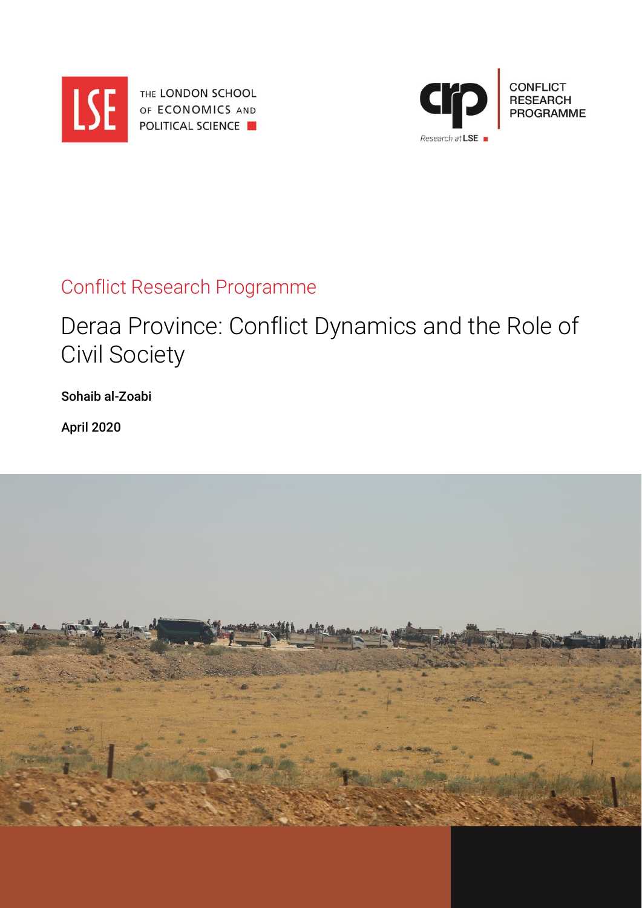

THE LONDON SCHOOL OF ECONOMICS AND **POLITICAL SCIENCE** 



# Conflict Research Programme

# Deraa Province: Conflict Dynamics and the Role of Civil Society

Sohaib al-Zoabi

April 2020

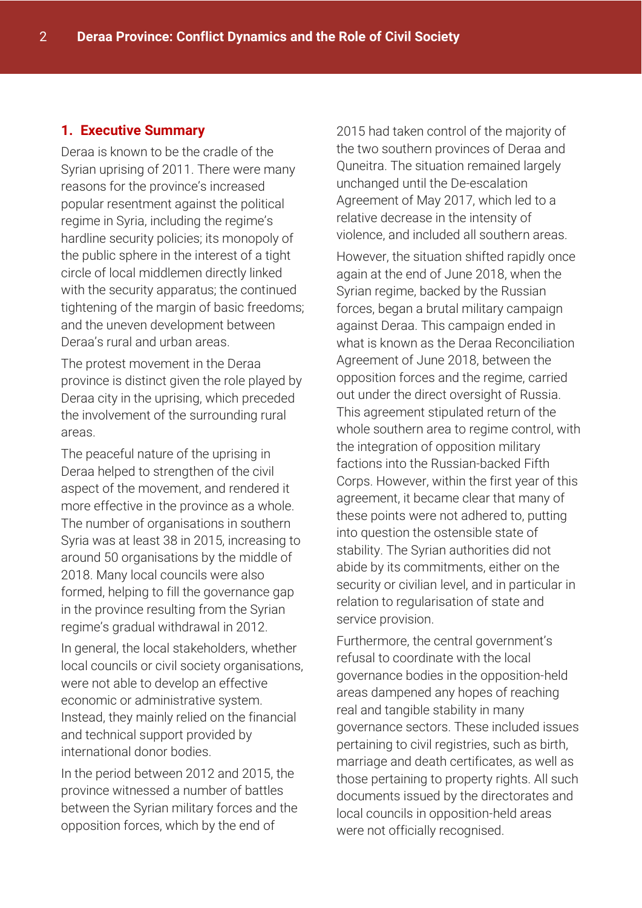# **1. Executive Summary**

Deraa is known to be the cradle of the Syrian uprising of 2011. There were many reasons for the province's increased popular resentment against the political regime in Syria, including the regime's hardline security policies; its monopoly of the public sphere in the interest of a tight circle of local middlemen directly linked with the security apparatus; the continued tightening of the margin of basic freedoms; and the uneven development between Deraa's rural and urban areas.

The protest movement in the Deraa province is distinct given the role played by Deraa city in the uprising, which preceded the involvement of the surrounding rural areas.

The peaceful nature of the uprising in Deraa helped to strengthen of the civil aspect of the movement, and rendered it more effective in the province as a whole. The number of organisations in southern Syria was at least 38 in 2015, increasing to around 50 organisations by the middle of 2018. Many local councils were also formed, helping to fill the governance gap in the province resulting from the Syrian regime's gradual withdrawal in 2012.

In general, the local stakeholders, whether local councils or civil society organisations, were not able to develop an effective economic or administrative system. Instead, they mainly relied on the financial and technical support provided by international donor bodies.

In the period between 2012 and 2015, the province witnessed a number of battles between the Syrian military forces and the opposition forces, which by the end of

2015 had taken control of the majority of the two southern provinces of Deraa and Quneitra. The situation remained largely unchanged until the De-escalation Agreement of May 2017, which led to a relative decrease in the intensity of violence, and included all southern areas.

However, the situation shifted rapidly once again at the end of June 2018, when the Syrian regime, backed by the Russian forces, began a brutal military campaign against Deraa. This campaign ended in what is known as the Deraa Reconciliation Agreement of June 2018, between the opposition forces and the regime, carried out under the direct oversight of Russia. This agreement stipulated return of the whole southern area to regime control, with the integration of opposition military factions into the Russian-backed Fifth Corps. However, within the first year of this agreement, it became clear that many of these points were not adhered to, putting into question the ostensible state of stability. The Syrian authorities did not abide by its commitments, either on the security or civilian level, and in particular in relation to regularisation of state and service provision.

Furthermore, the central government's refusal to coordinate with the local governance bodies in the opposition-held areas dampened any hopes of reaching real and tangible stability in many governance sectors. These included issues pertaining to civil registries, such as birth, marriage and death certificates, as well as those pertaining to property rights. All such documents issued by the directorates and local councils in opposition-held areas were not officially recognised.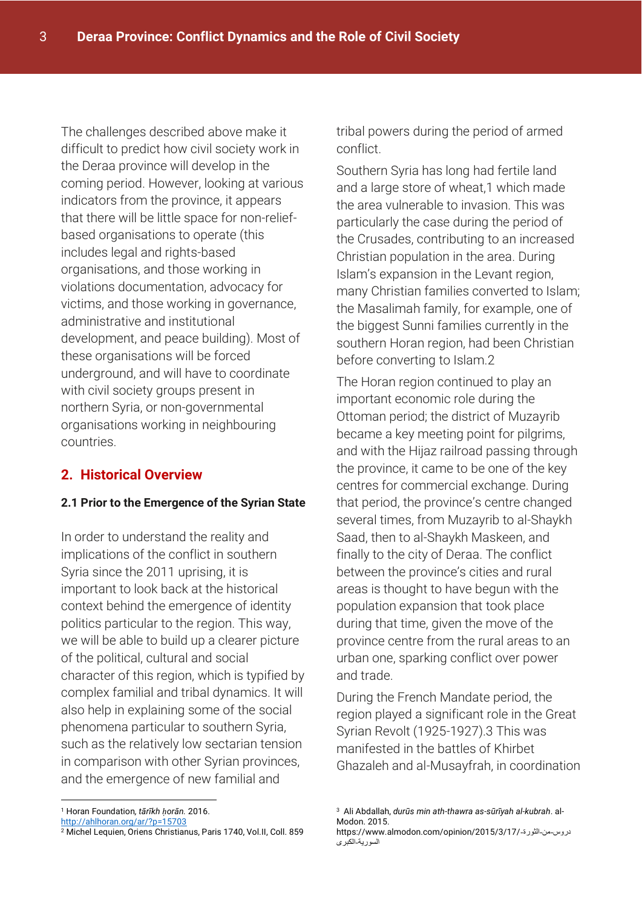The challenges described above make it difficult to predict how civil society work in the Deraa province will develop in the coming period. However, looking at various indicators from the province, it appears that there will be little space for non-reliefbased organisations to operate (this includes legal and rights-based organisations, and those working in violations documentation, advocacy for victims, and those working in governance, administrative and institutional development, and peace building). Most of these organisations will be forced underground, and will have to coordinate with civil society groups present in northern Syria, or non-governmental organisations working in neighbouring countries.

# **2. Historical Overview**

#### **2.1 Prior to the Emergence of the Syrian State**

In order to understand the reality and implications of the conflict in southern Syria since the 2011 uprising, it is important to look back at the historical context behind the emergence of identity politics particular to the region. This way, we will be able to build up a clearer picture of the political, cultural and social character of this region, which is typified by complex familial and tribal dynamics. It will also help in explaining some of the social phenomena particular to southern Syria, such as the relatively low sectarian tension in comparison with other Syrian provinces, and the emergence of new familial and

<http://ahlhoran.org/ar/?p=15703>

tribal powers during the period of armed conflict.

Southern Syria has long had fertile land and a large store of wheat,1 which made the area vulnerable to invasion. This was particularly the case during the period of the Crusades, contributing to an increased Christian population in the area. During Islam's expansion in the Levant region, many Christian families converted to Islam; the Masalimah family, for example, one of the biggest Sunni families currently in the southern Horan region, had been Christian before converting to Islam.2

The Horan region continued to play an important economic role during the Ottoman period; the district of Muzayrib became a key meeting point for pilgrims, and with the Hijaz railroad passing through the province, it came to be one of the key centres for commercial exchange. During that period, the province's centre changed several times, from Muzayrib to al-Shaykh Saad, then to al-Shaykh Maskeen, and finally to the city of Deraa. The conflict between the province's cities and rural areas is thought to have begun with the population expansion that took place during that time, given the move of the province centre from the rural areas to an urban one, sparking conflict over power and trade.

During the French Mandate period, the region played a significant role in the Great Syrian Revolt (1925-1927).3 This was manifested in the battles of Khirbet Ghazaleh and al-Musayfrah, in coordination

<sup>-</sup><sup>1</sup> Horan Foundation*, tārīkh ḥorān.* 2016.

<sup>2</sup> Michel Lequien, Oriens Christianus, Paris 1740, Vol.II, Coll. 859

<sup>3</sup> Ali Abdallah, *durūs min ath-thawra as-sūrīyah al-kubrah*. al-Modon. 2015.

https://www.almodon.com/opinion/2015/3/17/-الثورة-من-دروس السورية-الكبرى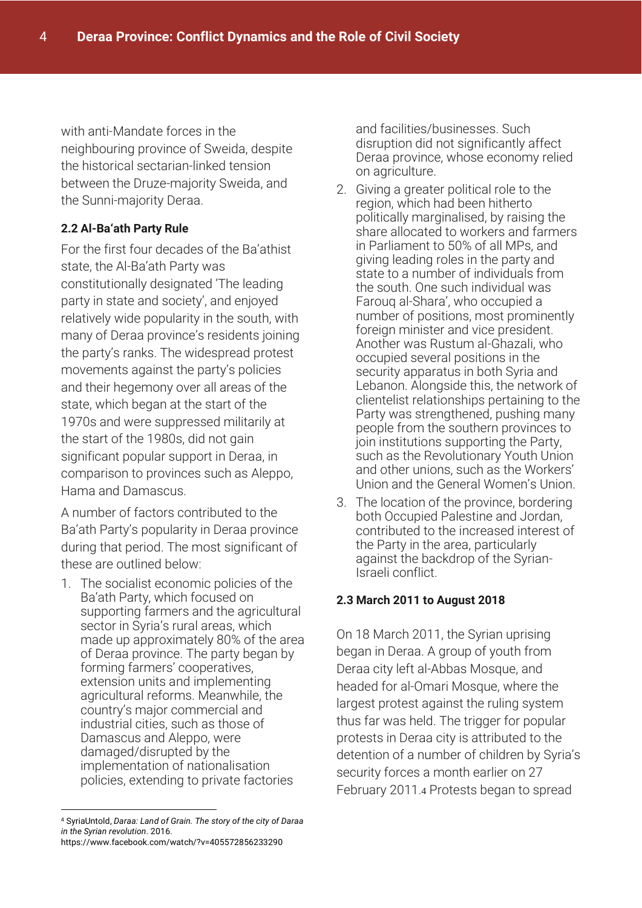with anti-Mandate forces in the neighbouring province of Sweida, despite the historical sectarian-linked tension between the Druze-majority Sweida, and the Sunni-majority Deraa.

## **2.2 Al-Ba'ath Party Rule**

For the first four decades of the Ba'athist state, the Al-Ba'ath Party was constitutionally designated 'The leading party in state and society', and enjoyed relatively wide popularity in the south, with many of Deraa province's residents joining the party's ranks. The widespread protest movements against the party's policies and their hegemony over all areas of the state, which began at the start of the 1970s and were suppressed militarily at the start of the 1980s, did not gain significant popular support in Deraa, in comparison to provinces such as Aleppo, Hama and Damascus.

A number of factors contributed to the Ba'ath Party's popularity in Deraa province during that period. The most significant of these are outlined below:

1. The socialist economic policies of the Ba'ath Party, which focused on supporting farmers and the agricultural sector in Syria's rural areas, which made up approximately 80% of the area of Deraa province. The party began by forming farmers' cooperatives, extension units and implementing agricultural reforms. Meanwhile, the country's major commercial and industrial cities, such as those of Damascus and Aleppo, were damaged/disrupted by the implementation of nationalisation policies, extending to private factories

and facilities/businesses. Such disruption did not significantly affect Deraa province, whose economy relied on agriculture.

- 2. Giving a greater political role to the region, which had been hitherto politically marginalised, by raising the share allocated to workers and farmers in Parliament to 50% of all MPs, and giving leading roles in the party and state to a number of individuals from the south. One such individual was Farouq al-Shara', who occupied a number of positions, most prominently foreign minister and vice president. Another was Rustum al-Ghazali, who occupied several positions in the security apparatus in both Syria and Lebanon. Alongside this, the network of clientelist relationships pertaining to the Party was strengthened, pushing many people from the southern provinces to join institutions supporting the Party, such as the Revolutionary Youth Union and other unions, such as the Workers' Union and the General Women's Union.
- 3. The location of the province, bordering both Occupied Palestine and Jordan, contributed to the increased interest of the Party in the area, particularly against the backdrop of the Syrian-Israeli conflict.

## **2.3 March 2011 to August 2018**

On 18 March 2011, the Syrian uprising began in Deraa. A group of youth from Deraa city left al-Abbas Mosque, and headed for al-Omari Mosque, where the largest protest against the ruling system thus far was held. The trigger for popular protests in Deraa city is attributed to the detention of a number of children by Syria's security forces a month earlier on 27 February 2011.4 Protests began to spread

<sup>-</sup><sup>4</sup> SyriaUntold, *Daraa: Land of Grain. The story of the city of Daraa in the Syrian revolution*. 2016. https://www.facebook.com/watch/?v=405572856233290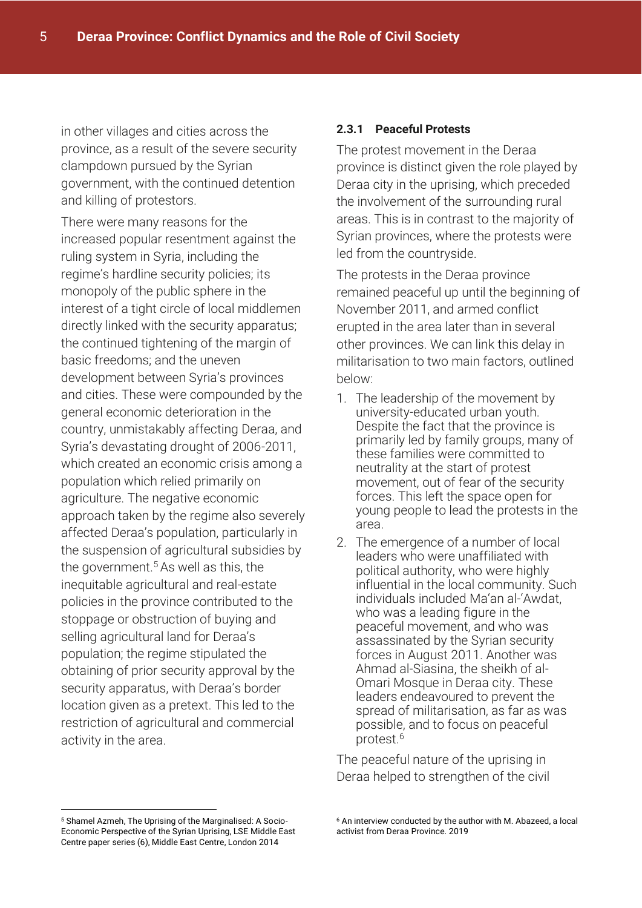in other villages and cities across the province, as a result of the severe security clampdown pursued by the Syrian government, with the continued detention and killing of protestors.

There were many reasons for the increased popular resentment against the ruling system in Syria, including the regime's hardline security policies; its monopoly of the public sphere in the interest of a tight circle of local middlemen directly linked with the security apparatus; the continued tightening of the margin of basic freedoms; and the uneven development between Syria's provinces and cities. These were compounded by the general economic deterioration in the country, unmistakably affecting Deraa, and Syria's devastating drought of 2006-2011, which created an economic crisis among a population which relied primarily on agriculture. The negative economic approach taken by the regime also severely affected Deraa's population, particularly in the suspension of agricultural subsidies by the government.<sup>5</sup> As well as this, the inequitable agricultural and real-estate policies in the province contributed to the stoppage or obstruction of buying and selling agricultural land for Deraa's population; the regime stipulated the obtaining of prior security approval by the security apparatus, with Deraa's border location given as a pretext. This led to the restriction of agricultural and commercial activity in the area.

#### **2.3.1 Peaceful Protests**

The protest movement in the Deraa province is distinct given the role played by Deraa city in the uprising, which preceded the involvement of the surrounding rural areas. This is in contrast to the majority of Syrian provinces, where the protests were led from the countryside.

The protests in the Deraa province remained peaceful up until the beginning of November 2011, and armed conflict erupted in the area later than in several other provinces. We can link this delay in militarisation to two main factors, outlined below:

- 1. The leadership of the movement by university-educated urban youth. Despite the fact that the province is primarily led by family groups, many of these families were committed to neutrality at the start of protest movement, out of fear of the security forces. This left the space open for young people to lead the protests in the area.
- 2. The emergence of a number of local leaders who were unaffiliated with political authority, who were highly influential in the local community. Such individuals included Ma'an al-'Awdat, who was a leading figure in the peaceful movement, and who was assassinated by the Syrian security forces in August 2011. Another was Ahmad al-Siasina, the sheikh of al-Omari Mosque in Deraa city. These leaders endeavoured to prevent the spread of militarisation, as far as was possible, and to focus on peaceful protest.<sup>6</sup>

The peaceful nature of the uprising in Deraa helped to strengthen of the civil

-

<sup>5</sup> Shamel Azmeh, The Uprising of the Marginalised: A Socio-Economic Perspective of the Syrian Uprising, LSE Middle East Centre paper series (6), Middle East Centre, London 2014

<sup>6</sup> An interview conducted by the author with M. Abazeed, a local activist from Deraa Province. 2019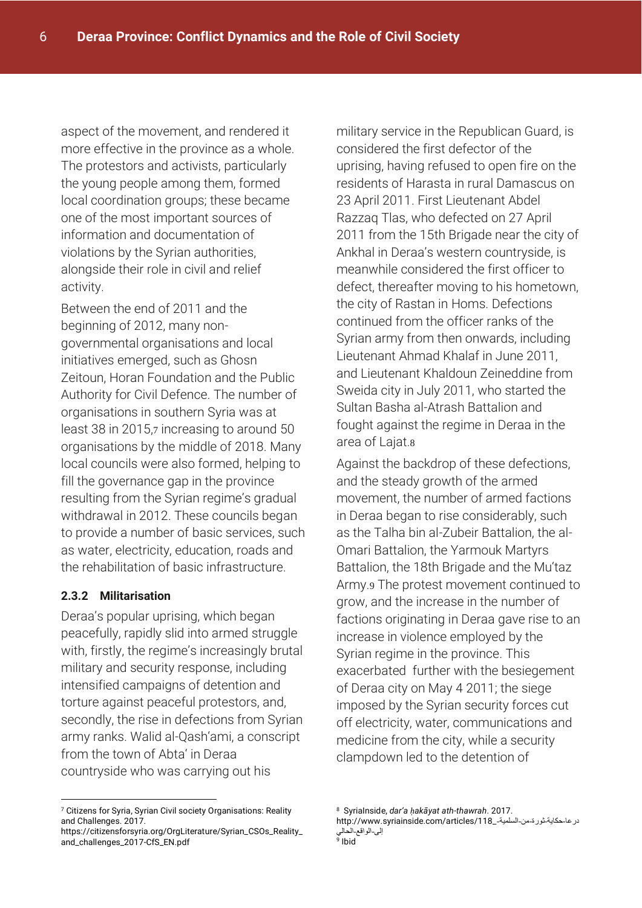aspect of the movement, and rendered it more effective in the province as a whole. The protestors and activists, particularly the young people among them, formed local coordination groups; these became one of the most important sources of information and documentation of violations by the Syrian authorities, alongside their role in civil and relief activity.

Between the end of 2011 and the beginning of 2012, many nongovernmental organisations and local initiatives emerged, such as Ghosn Zeitoun, Horan Foundation and the Public Authority for Civil Defence. The number of organisations in southern Syria was at least 38 in 2015,7 increasing to around 50 organisations by the middle of 2018. Many local councils were also formed, helping to fill the governance gap in the province resulting from the Syrian regime's gradual withdrawal in 2012. These councils began to provide a number of basic services, such as water, electricity, education, roads and the rehabilitation of basic infrastructure.

#### **2.3.2 Militarisation**

-

Deraa's popular uprising, which began peacefully, rapidly slid into armed struggle with, firstly, the regime's increasingly brutal military and security response, including intensified campaigns of detention and torture against peaceful protestors, and, secondly, the rise in defections from Syrian army ranks. Walid al-Qash'ami, a conscript from the town of Abta' in Deraa countryside who was carrying out his

military service in the Republican Guard, is considered the first defector of the uprising, having refused to open fire on the residents of Harasta in rural Damascus on 23 April 2011. First Lieutenant Abdel Razzaq Tlas, who defected on 27 April 2011 from the 15th Brigade near the city of Ankhal in Deraa's western countryside, is meanwhile considered the first officer to defect, thereafter moving to his hometown, the city of Rastan in Homs. Defections continued from the officer ranks of the Syrian army from then onwards, including Lieutenant Ahmad Khalaf in June 2011, and Lieutenant Khaldoun Zeineddine from Sweida city in July 2011, who started the Sultan Basha al-Atrash Battalion and fought against the regime in Deraa in the area of Lajat.8

Against the backdrop of these defections, and the steady growth of the armed movement, the number of armed factions in Deraa began to rise considerably, such as the Talha bin al-Zubeir Battalion, the al-Omari Battalion, the Yarmouk Martyrs Battalion, the 18th Brigade and the Mu'taz Army.9 The protest movement continued to grow, and the increase in the number of factions originating in Deraa gave rise to an increase in violence employed by the Syrian regime in the province. This exacerbated further with the besiegement of Deraa city on May 4 2011; the siege imposed by the Syrian security forces cut off electricity, water, communications and medicine from the city, while a security clampdown led to the detention of

<sup>7</sup> Citizens for Syria, Syrian Civil society Organisations: Reality and Challenges. 2017.

[https://citizensforsyria.org/OrgLiterature/Syrian\\_CSOs\\_Reality\\_](https://citizensforsyria.org/OrgLiterature/Syrian_CSOs_Reality_and_challenges_2017-CfS_EN.pdf) [and\\_challenges\\_2017-CfS\\_EN.pdf](https://citizensforsyria.org/OrgLiterature/Syrian_CSOs_Reality_and_challenges_2017-CfS_EN.pdf)

<sup>8</sup> SyriaInside, *dar'a ḥakāyat ath-thawrah*. 2017.

در عا-حكاية-ثورة-من-السلمية-\_118/http://www.syriainside.com/articles إلى-الواقع-الحالي 9 Ibid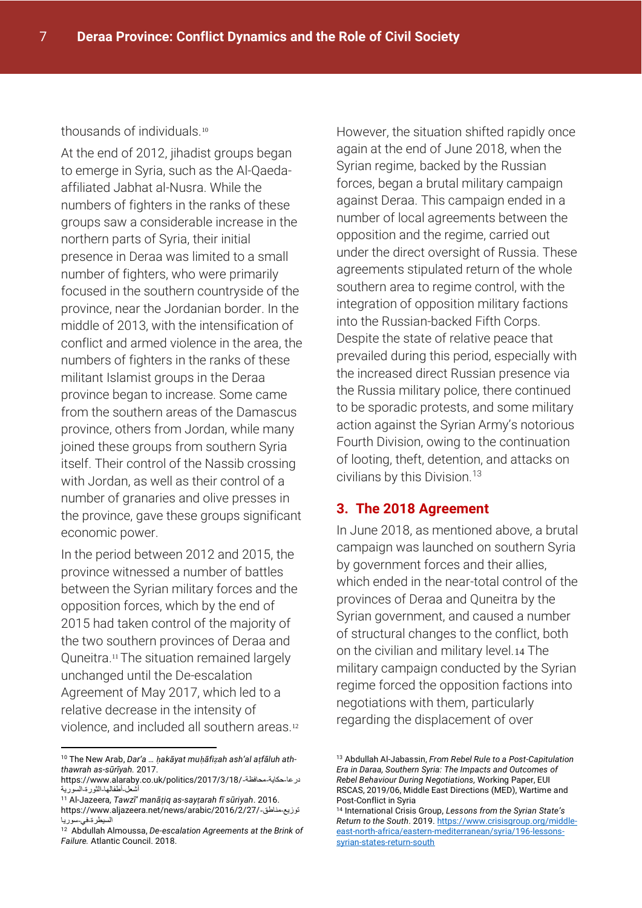#### thousands of individuals.<sup>10</sup>

At the end of 2012, jihadist groups began to emerge in Syria, such as the Al-Qaedaaffiliated Jabhat al-Nusra. While the numbers of fighters in the ranks of these groups saw a considerable increase in the northern parts of Syria, their initial presence in Deraa was limited to a small number of fighters, who were primarily focused in the southern countryside of the province, near the Jordanian border. In the middle of 2013, with the intensification of conflict and armed violence in the area, the numbers of fighters in the ranks of these militant Islamist groups in the Deraa province began to increase. Some came from the southern areas of the Damascus province, others from Jordan, while many joined these groups from southern Syria itself. Their control of the Nassib crossing with Jordan, as well as their control of a number of granaries and olive presses in the province, gave these groups significant economic power.

In the period between 2012 and 2015, the province witnessed a number of battles between the Syrian military forces and the opposition forces, which by the end of 2015 had taken control of the majority of the two southern provinces of Deraa and Quneitra.<sup>11</sup> The situation remained largely unchanged until the De-escalation Agreement of May 2017, which led to a relative decrease in the intensity of violence, and included all southern areas.<sup>12</sup>

-

However, the situation shifted rapidly once again at the end of June 2018, when the Syrian regime, backed by the Russian forces, began a brutal military campaign against Deraa. This campaign ended in a number of local agreements between the opposition and the regime, carried out under the direct oversight of Russia. These agreements stipulated return of the whole southern area to regime control, with the integration of opposition military factions into the Russian-backed Fifth Corps. Despite the state of relative peace that prevailed during this period, especially with the increased direct Russian presence via the Russia military police, there continued to be sporadic protests, and some military action against the Syrian Army's notorious Fourth Division, owing to the continuation of looting, theft, detention, and attacks on civilians by this Division. 13

#### **3. The 2018 Agreement**

In June 2018, as mentioned above, a brutal campaign was launched on southern Syria by government forces and their allies, which ended in the near-total control of the provinces of Deraa and Quneitra by the Syrian government, and caused a number of structural changes to the conflict, both on the civilian and military level.14 The military campaign conducted by the Syrian regime forced the opposition factions into negotiations with them, particularly regarding the displacement of over

<sup>10</sup> The New Arab, *Dar'a … ḥakāyat muḥāfiẓah ash'al aṭfāluh aththawrah as-sūrīyah.* 2017.

https://www.alaraby.co.uk/politics/2017/3/18/-محافظة-حكاية-درعا أشعل-أطفالها-الثورة-السورية

<sup>11</sup> Al-Jazeera*, Tawzī' manāṭiq as-sayṭarah fī sūriyah*. 2016. https://www.aljazeera.net/news/arabic/2016/2/27/-مناطق-توزيع السيطرة-في-سوريا

<sup>12</sup> Abdullah Almoussa, *De-escalation Agreements at the Brink of Failure.* Atlantic Council. 2018.

<sup>13</sup> Abdullah Al-Jabassin, *From Rebel Rule to a Post-Capitulation Era in Daraa, Southern Syria: The Impacts and Outcomes of Rebel Behaviour During Negotiations,* Working Paper, EUI RSCAS, 2019/06, Middle East Directions (MED), Wartime and Post-Conflict in Syria

<sup>14</sup> International Crisis Group, *Lessons from the Syrian State's Return to the South*. 2019[. https://www.crisisgroup.org/middle](https://www.crisisgroup.org/middle-east-north-africa/eastern-mediterranean/syria/196-lessons-syrian-states-return-south)[east-north-africa/eastern-mediterranean/syria/196-lessons](https://www.crisisgroup.org/middle-east-north-africa/eastern-mediterranean/syria/196-lessons-syrian-states-return-south)[syrian-states-return-south](https://www.crisisgroup.org/middle-east-north-africa/eastern-mediterranean/syria/196-lessons-syrian-states-return-south)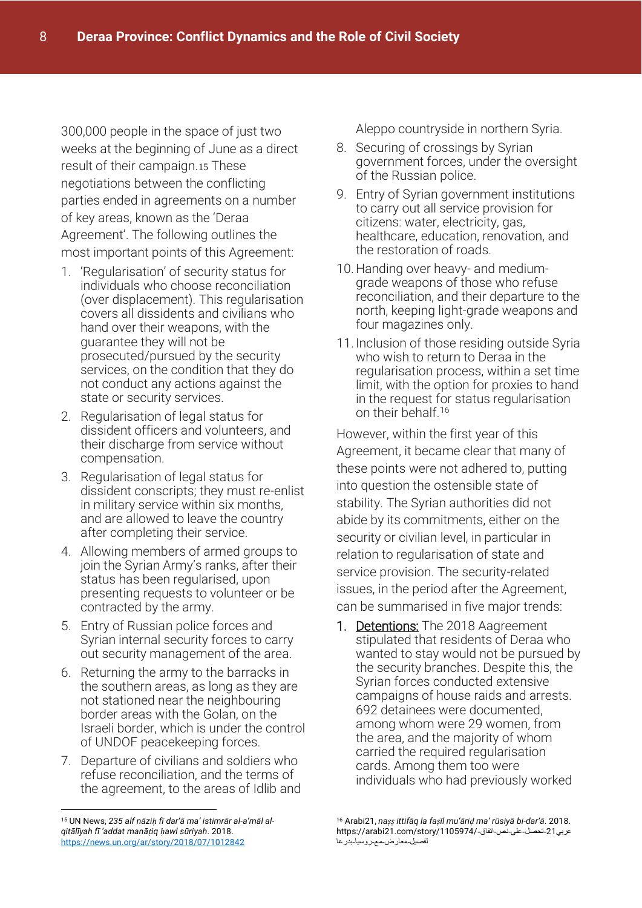300,000 people in the space of just two weeks at the beginning of June as a direct result of their campaign.15 These negotiations between the conflicting parties ended in agreements on a number of key areas, known as the 'Deraa Agreement'. The following outlines the most important points of this Agreement:

- 1. 'Regularisation' of security status for individuals who choose reconciliation (over displacement). This regularisation covers all dissidents and civilians who hand over their weapons, with the guarantee they will not be prosecuted/pursued by the security services, on the condition that they do not conduct any actions against the state or security services.
- 2. Regularisation of legal status for dissident officers and volunteers, and their discharge from service without compensation.
- 3. Regularisation of legal status for dissident conscripts; they must re-enlist in military service within six months, and are allowed to leave the country after completing their service.
- 4. Allowing members of armed groups to join the Syrian Army's ranks, after their status has been regularised, upon presenting requests to volunteer or be contracted by the army.
- 5. Entry of Russian police forces and Syrian internal security forces to carry out security management of the area.
- 6. Returning the army to the barracks in the southern areas, as long as they are not stationed near the neighbouring border areas with the Golan, on the Israeli border, which is under the control of UNDOF peacekeeping forces.
- 7. Departure of civilians and soldiers who refuse reconciliation, and the terms of the agreement, to the areas of Idlib and

Aleppo countryside in northern Syria.

- 8. Securing of crossings by Syrian government forces, under the oversight of the Russian police.
- 9. Entry of Syrian government institutions to carry out all service provision for citizens: water, electricity, gas, healthcare, education, renovation, and the restoration of roads.
- 10.Handing over heavy- and mediumgrade weapons of those who refuse reconciliation, and their departure to the north, keeping light-grade weapons and four magazines only.
- 11. Inclusion of those residing outside Syria who wish to return to Deraa in the regularisation process, within a set time limit, with the option for proxies to hand in the request for status regularisation on their behalf.<sup>16</sup>

However, within the first year of this Agreement, it became clear that many of these points were not adhered to, putting into question the ostensible state of stability. The Syrian authorities did not abide by its commitments, either on the security or civilian level, in particular in relation to regularisation of state and service provision. The security-related issues, in the period after the Agreement, can be summarised in five major trends:

1. Detentions: The 2018 Aagreement stipulated that residents of Deraa who wanted to stay would not be pursued by the security branches. Despite this, the Syrian forces conducted extensive campaigns of house raids and arrests. 692 detainees were documented, among whom were 29 women, from the area, and the majority of whom carried the required regularisation cards. Among them too were individuals who had previously worked

<sup>-</sup><sup>15</sup> UN News, *235 alf nāziḥ fī dar'ā ma' istimrār al-a'māl alqitālīyah fī 'addat manāṭiq ḥawl sūriyah*. 2018. <https://news.un.org/ar/story/2018/07/1012842>

<sup>16</sup> Arabi21, *naṣṣ ittifāq la faṣīl mu'āriḍ ma' rūsiyā bi-dar'ā*. 2018. عربي21-تحصل-على-نص-اتفاق-/1105974//arabi21.com/story/ لفصيل-معارض-مع-روسيا-بدرعا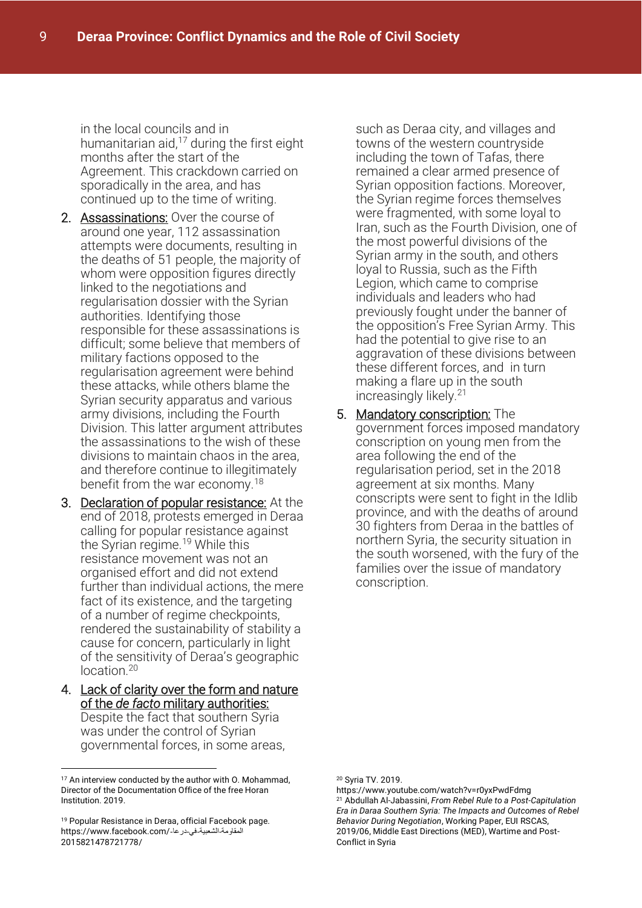in the local councils and in humanitarian aid, $17$  during the first eight months after the start of the Agreement. This crackdown carried on sporadically in the area, and has continued up to the time of writing.

- 2. Assassinations: Over the course of around one year, 112 assassination attempts were documents, resulting in the deaths of 51 people, the majority of whom were opposition figures directly linked to the negotiations and regularisation dossier with the Syrian authorities. Identifying those responsible for these assassinations is difficult; some believe that members of military factions opposed to the regularisation agreement were behind these attacks, while others blame the Syrian security apparatus and various army divisions, including the Fourth Division. This latter argument attributes the assassinations to the wish of these divisions to maintain chaos in the area, and therefore continue to illegitimately benefit from the war economy.<sup>18</sup>
- 3. Declaration of popular resistance: At the end of 2018, protests emerged in Deraa calling for popular resistance against the Syrian regime.<sup>19</sup> While this resistance movement was not an organised effort and did not extend further than individual actions, the mere fact of its existence, and the targeting of a number of regime checkpoints, rendered the sustainability of stability a cause for concern, particularly in light of the sensitivity of Deraa's geographic location.<sup>20</sup>
- 4. Lack of clarity over the form and nature of the *de facto* military authorities: Despite the fact that southern Syria was under the control of Syrian governmental forces, in some areas,

<u>.</u>

such as Deraa city, and villages and towns of the western countryside including the town of Tafas, there remained a clear armed presence of Syrian opposition factions. Moreover, the Syrian regime forces themselves were fragmented, with some loyal to Iran, such as the Fourth Division, one of the most powerful divisions of the Syrian army in the south, and others loyal to Russia, such as the Fifth Legion, which came to comprise individuals and leaders who had previously fought under the banner of the opposition's Free Syrian Army. This had the potential to give rise to an aggravation of these divisions between these different forces, and in turn making a flare up in the south increasingly likely.<sup>21</sup>

5. Mandatory conscription: The government forces imposed mandatory conscription on young men from the area following the end of the regularisation period, set in the 2018 agreement at six months. Many conscripts were sent to fight in the Idlib province, and with the deaths of around 30 fighters from Deraa in the battles of northern Syria, the security situation in the south worsened, with the fury of the families over the issue of mandatory conscription.

<sup>&</sup>lt;sup>17</sup> An interview conducted by the author with O. Mohammad, Director of the Documentation Office of the free Horan Institution. 2019.

<sup>19</sup> Popular Resistance in Deraa, official Facebook page. المقاومة-الشعبية-في-درعا-/https://www.facebook.com 2015821478721778/

<sup>20</sup> Syria TV. 2019.

https://www.youtube.com/watch?v=r0yxPwdFdmg <sup>21</sup> Abdullah Al-Jabassini, *From Rebel Rule to a Post-Capitulation Era in Daraa Southern Syria: The Impacts and Outcomes of Rebel Behavior During Negotiation*, Working Paper, EUI RSCAS, 2019/06, Middle East Directions (MED), Wartime and Post-Conflict in Syria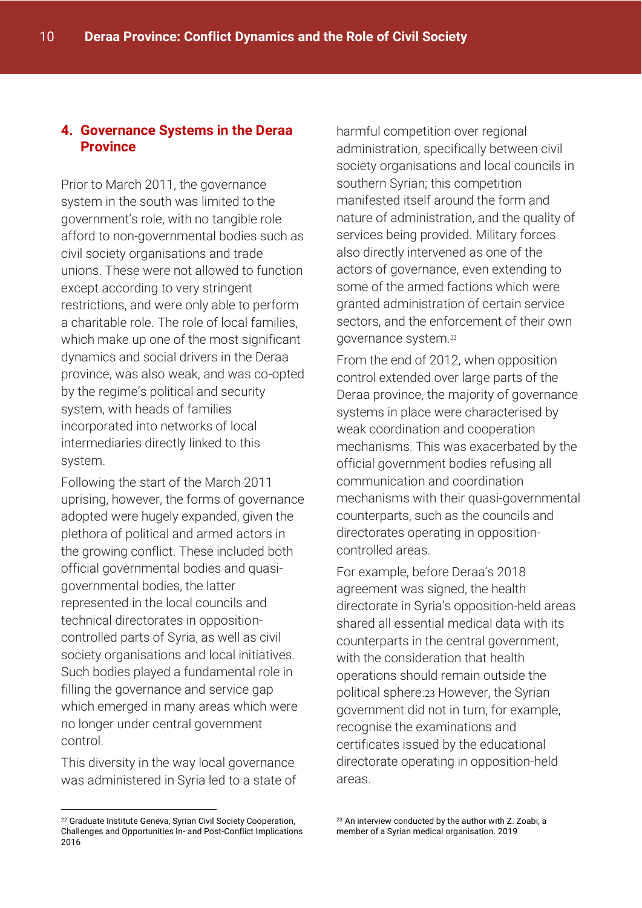## **4. Governance Systems in the Deraa Province**

Prior to March 2011, the governance system in the south was limited to the government's role, with no tangible role afford to non-governmental bodies such as civil society organisations and trade unions. These were not allowed to function except according to very stringent restrictions, and were only able to perform a charitable role. The role of local families, which make up one of the most significant dynamics and social drivers in the Deraa province, was also weak, and was co-opted by the regime's political and security system, with heads of families incorporated into networks of local intermediaries directly linked to this system.

Following the start of the March 2011 uprising, however, the forms of governance adopted were hugely expanded, given the plethora of political and armed actors in the growing conflict. These included both official governmental bodies and quasigovernmental bodies, the latter represented in the local councils and technical directorates in oppositioncontrolled parts of Syria, as well as civil society organisations and local initiatives. Such bodies played a fundamental role in filling the governance and service gap which emerged in many areas which were no longer under central government control.

This diversity in the way local governance was administered in Syria led to a state of harmful competition over regional administration, specifically between civil society organisations and local councils in southern Syrian; this competition manifested itself around the form and nature of administration, and the quality of services being provided. Military forces also directly intervened as one of the actors of governance, even extending to some of the armed factions which were granted administration of certain service sectors, and the enforcement of their own governance system.<sup>22</sup>

From the end of 2012, when opposition control extended over large parts of the Deraa province, the majority of governance systems in place were characterised by weak coordination and cooperation mechanisms. This was exacerbated by the official government bodies refusing all communication and coordination mechanisms with their quasi-governmental counterparts, such as the councils and directorates operating in oppositioncontrolled areas.

For example, before Deraa's 2018 agreement was signed, the health directorate in Syria's opposition-held areas shared all essential medical data with its counterparts in the central government, with the consideration that health operations should remain outside the political sphere.23 However, the Syrian government did not in turn, for example, recognise the examinations and certificates issued by the educational directorate operating in opposition-held areas.

<sup>-</sup><sup>22</sup> Graduate Institute Geneva, Syrian Civil Society Cooperation, Challenges and Opportunities In- and Post-Conflict Implications 2016

<sup>23</sup> An interview conducted by the author with Z. Zoabi, a member of a Syrian medical organisation. 2019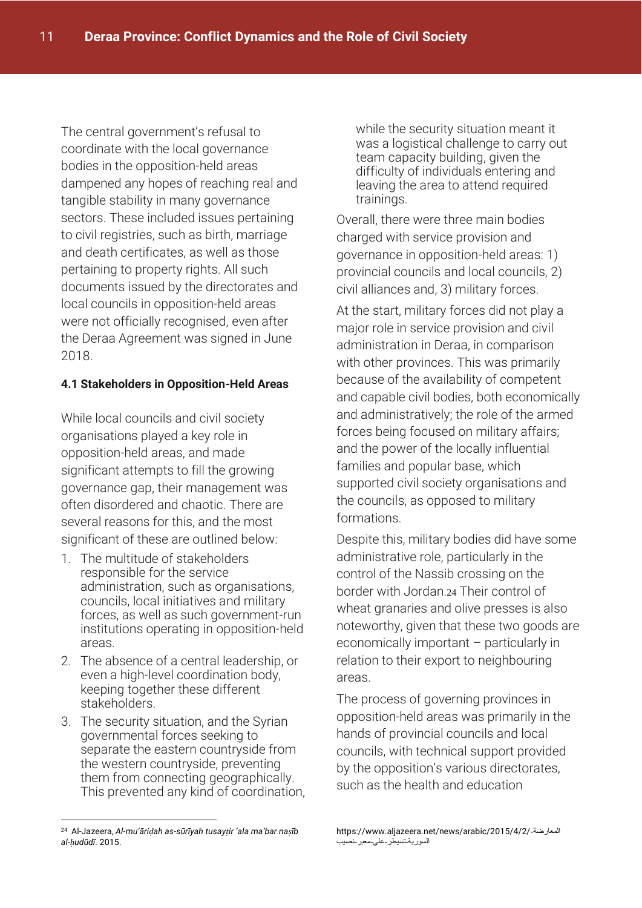The central government's refusal to coordinate with the local governance bodies in the opposition-held areas dampened any hopes of reaching real and tangible stability in many governance sectors. These included issues pertaining to civil registries, such as birth, marriage and death certificates, as well as those pertaining to property rights. All such documents issued by the directorates and local councils in opposition-held areas were not officially recognised, even after the Deraa Agreement was signed in June 2018.

#### **4.1 Stakeholders in Opposition-Held Areas**

While local councils and civil society organisations played a key role in opposition-held areas, and made significant attempts to fill the growing governance gap, their management was often disordered and chaotic. There are several reasons for this, and the most significant of these are outlined below:

- 1. The multitude of stakeholders responsible for the service administration, such as organisations, councils, local initiatives and military forces, as well as such government-run institutions operating in opposition-held areas.
- 2. The absence of a central leadership, or even a high-level coordination body, keeping together these different stakeholders.
- 3. The security situation, and the Syrian governmental forces seeking to separate the eastern countryside from the western countryside, preventing them from connecting geographically. This prevented any kind of coordination,

<u>.</u>

while the security situation meant it was a logistical challenge to carry out team capacity building, given the difficulty of individuals entering and leaving the area to attend required trainings.

Overall, there were three main bodies charged with service provision and governance in opposition-held areas: 1) provincial councils and local councils, 2) civil alliances and, 3) military forces.

At the start, military forces did not play a major role in service provision and civil administration in Deraa, in comparison with other provinces. This was primarily because of the availability of competent and capable civil bodies, both economically and administratively; the role of the armed forces being focused on military affairs; and the power of the locally influential families and popular base, which supported civil society organisations and the councils, as opposed to military formations.

Despite this, military bodies did have some administrative role, particularly in the control of the Nassib crossing on the border with Jordan.24 Their control of wheat granaries and olive presses is also noteworthy, given that these two goods are economically important – particularly in relation to their export to neighbouring areas.

The process of governing provinces in opposition-held areas was primarily in the hands of provincial councils and local councils, with technical support provided by the opposition's various directorates, such as the health and education

<sup>24</sup> Al-Jazeera, *Al-mu'āriḍah as-sūrīyah tusayṭir 'ala ma'bar naṣīb al-ḥudūdī*. 2015.

https://www.aljazeera.net/news/arabic/2015/4/2/-المعارضة السورية-تسيطر-على-معبر-نصيب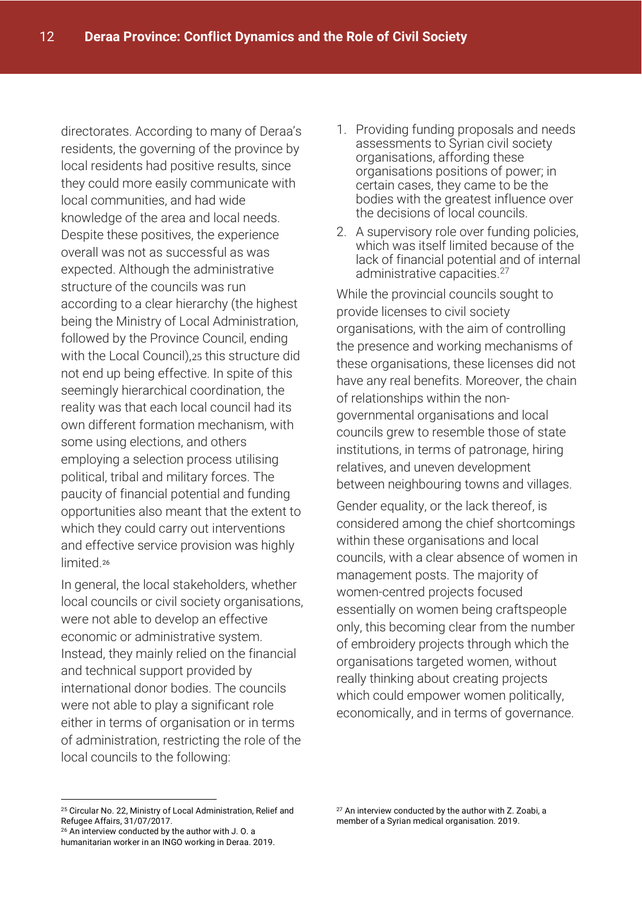directorates. According to many of Deraa's residents, the governing of the province by local residents had positive results, since they could more easily communicate with local communities, and had wide knowledge of the area and local needs. Despite these positives, the experience overall was not as successful as was expected. Although the administrative structure of the councils was run according to a clear hierarchy (the highest being the Ministry of Local Administration, followed by the Province Council, ending with the Local Council),25 this structure did not end up being effective. In spite of this seemingly hierarchical coordination, the reality was that each local council had its own different formation mechanism, with some using elections, and others employing a selection process utilising political, tribal and military forces. The paucity of financial potential and funding opportunities also meant that the extent to which they could carry out interventions and effective service provision was highly limited.<sup>26</sup>

In general, the local stakeholders, whether local councils or civil society organisations, were not able to develop an effective economic or administrative system. Instead, they mainly relied on the financial and technical support provided by international donor bodies. The councils were not able to play a significant role either in terms of organisation or in terms of administration, restricting the role of the local councils to the following:

- 1. Providing funding proposals and needs assessments to Syrian civil society organisations, affording these organisations positions of power; in certain cases, they came to be the bodies with the greatest influence over the decisions of local councils.
- 2. A supervisory role over funding policies, which was itself limited because of the lack of financial potential and of internal administrative capacities.<sup>27</sup>

While the provincial councils sought to provide licenses to civil society organisations, with the aim of controlling the presence and working mechanisms of these organisations, these licenses did not have any real benefits. Moreover, the chain of relationships within the nongovernmental organisations and local councils grew to resemble those of state institutions, in terms of patronage, hiring relatives, and uneven development between neighbouring towns and villages.

Gender equality, or the lack thereof, is considered among the chief shortcomings within these organisations and local councils, with a clear absence of women in management posts. The majority of women-centred projects focused essentially on women being craftspeople only, this becoming clear from the number of embroidery projects through which the organisations targeted women, without really thinking about creating projects which could empower women politically, economically, and in terms of governance.

<sup>-</sup><sup>25</sup> Circular No. 22, Ministry of Local Administration, Relief and Refugee Affairs, 31/07/2017.

<sup>26</sup> An interview conducted by the author with J. O. a humanitarian worker in an INGO working in Deraa. 2019.

<sup>&</sup>lt;sup>27</sup> An interview conducted by the author with Z. Zoabi, a member of a Syrian medical organisation. 2019.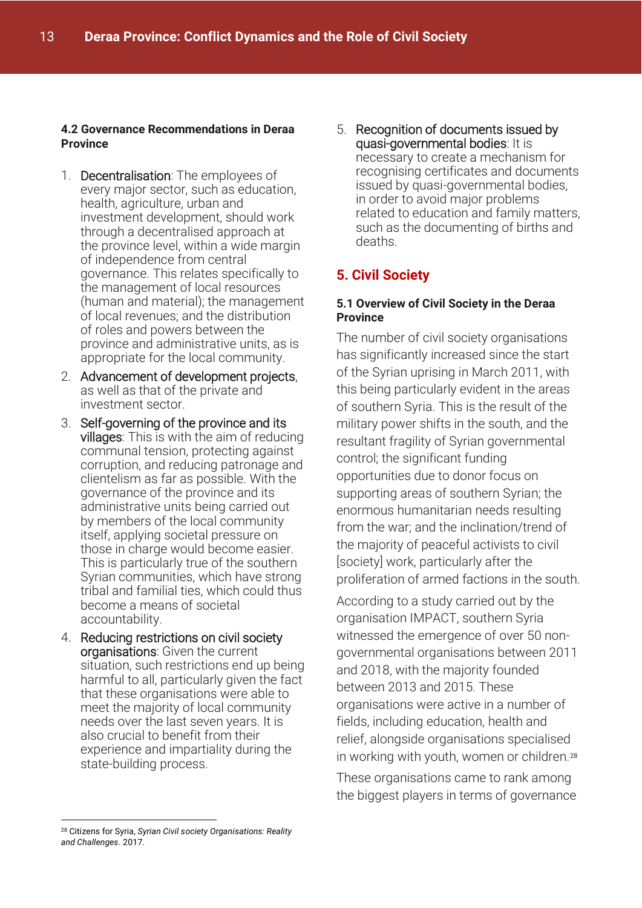#### **4.2 Governance Recommendations in Deraa Province**

- 1. Decentralisation: The employees of every major sector, such as education, health, agriculture, urban and investment development, should work through a decentralised approach at the province level, within a wide margin of independence from central governance. This relates specifically to the management of local resources (human and material); the management of local revenues; and the distribution of roles and powers between the province and administrative units, as is appropriate for the local community.
- 2. Advancement of development projects, as well as that of the private and investment sector.
- 3. Self-governing of the province and its villages: This is with the aim of reducing communal tension, protecting against corruption, and reducing patronage and clientelism as far as possible. With the governance of the province and its administrative units being carried out by members of the local community itself, applying societal pressure on those in charge would become easier. This is particularly true of the southern Syrian communities, which have strong tribal and familial ties, which could thus become a means of societal accountability.
- 4. Reducing restrictions on civil society organisations: Given the current situation, such restrictions end up being harmful to all, particularly given the fact that these organisations were able to meet the majority of local community needs over the last seven years. It is also crucial to benefit from their experience and impartiality during the state-building process.

5. Recognition of documents issued by quasi-governmental bodies: It is necessary to create a mechanism for recognising certificates and documents issued by quasi-governmental bodies, in order to avoid major problems related to education and family matters, such as the documenting of births and deaths.

# **5. Civil Society**

#### **5.1 Overview of Civil Society in the Deraa Province**

The number of civil society organisations has significantly increased since the start of the Syrian uprising in March 2011, with this being particularly evident in the areas of southern Syria. This is the result of the military power shifts in the south, and the resultant fragility of Syrian governmental control; the significant funding opportunities due to donor focus on supporting areas of southern Syrian; the enormous humanitarian needs resulting from the war; and the inclination/trend of the majority of peaceful activists to civil [society] work, particularly after the proliferation of armed factions in the south.

According to a study carried out by the organisation IMPACT, southern Syria witnessed the emergence of over 50 nongovernmental organisations between 2011 and 2018, with the majority founded between 2013 and 2015. These organisations were active in a number of fields, including education, health and relief, alongside organisations specialised in working with youth, women or children.<sup>28</sup>

These organisations came to rank among the biggest players in terms of governance

<u>.</u>

<sup>28</sup> Citizens for Syria, *Syrian Civil society Organisations: Reality and Challenges*. 2017.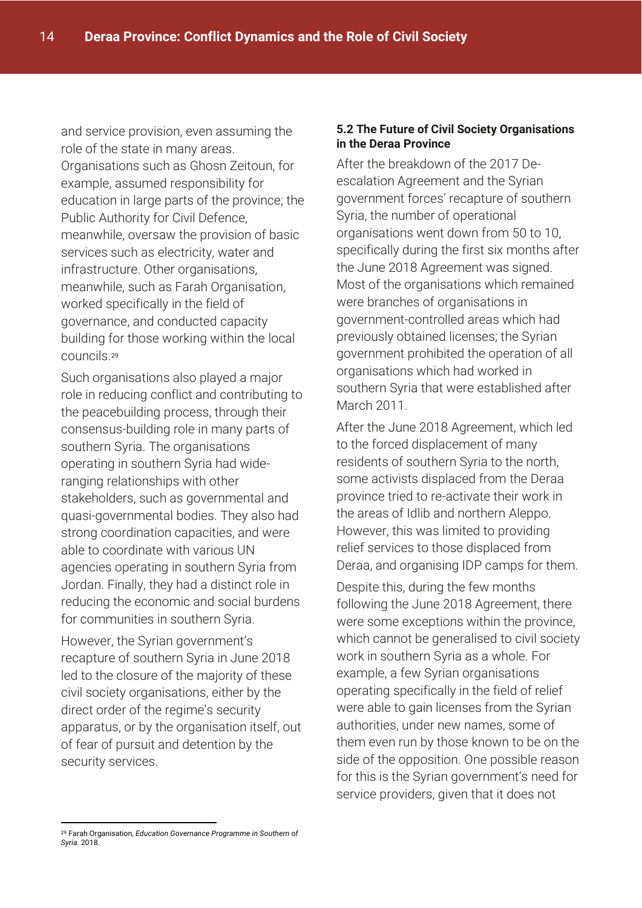and service provision, even assuming the role of the state in many areas. Organisations such as Ghosn Zeitoun, for example, assumed responsibility for education in large parts of the province; the Public Authority for Civil Defence, meanwhile, oversaw the provision of basic services such as electricity, water and infrastructure. Other organisations, meanwhile, such as Farah Organisation, worked specifically in the field of governance, and conducted capacity building for those working within the local councils.<sup>29</sup>

Such organisations also played a major role in reducing conflict and contributing to the peacebuilding process, through their consensus-building role in many parts of southern Syria. The organisations operating in southern Syria had wideranging relationships with other stakeholders, such as governmental and quasi-governmental bodies. They also had strong coordination capacities, and were able to coordinate with various UN agencies operating in southern Syria from Jordan. Finally, they had a distinct role in reducing the economic and social burdens for communities in southern Syria.

However, the Syrian government's recapture of southern Syria in June 2018 led to the closure of the majority of these civil society organisations, either by the direct order of the regime's security apparatus, or by the organisation itself, out of fear of pursuit and detention by the security services.

#### **5.2 The Future of Civil Society Organisations in the Deraa Province**

After the breakdown of the 2017 Deescalation Agreement and the Syrian government forces' recapture of southern Syria, the number of operational organisations went down from 50 to 10, specifically during the first six months after the June 2018 Agreement was signed. Most of the organisations which remained were branches of organisations in government-controlled areas which had previously obtained licenses; the Syrian government prohibited the operation of all organisations which had worked in southern Syria that were established after March 2011.

After the June 2018 Agreement, which led to the forced displacement of many residents of southern Syria to the north, some activists displaced from the Deraa province tried to re-activate their work in the areas of Idlib and northern Aleppo. However, this was limited to providing relief services to those displaced from Deraa, and organising IDP camps for them.

Despite this, during the few months following the June 2018 Agreement, there were some exceptions within the province, which cannot be generalised to civil society work in southern Syria as a whole. For example, a few Syrian organisations operating specifically in the field of relief were able to gain licenses from the Syrian authorities, under new names, some of them even run by those known to be on the side of the opposition. One possible reason for this is the Syrian government's need for service providers, given that it does not

<sup>-</sup><sup>29</sup> Farah Organisation, *Education Governance Programme in Southern of Syria*. 2018.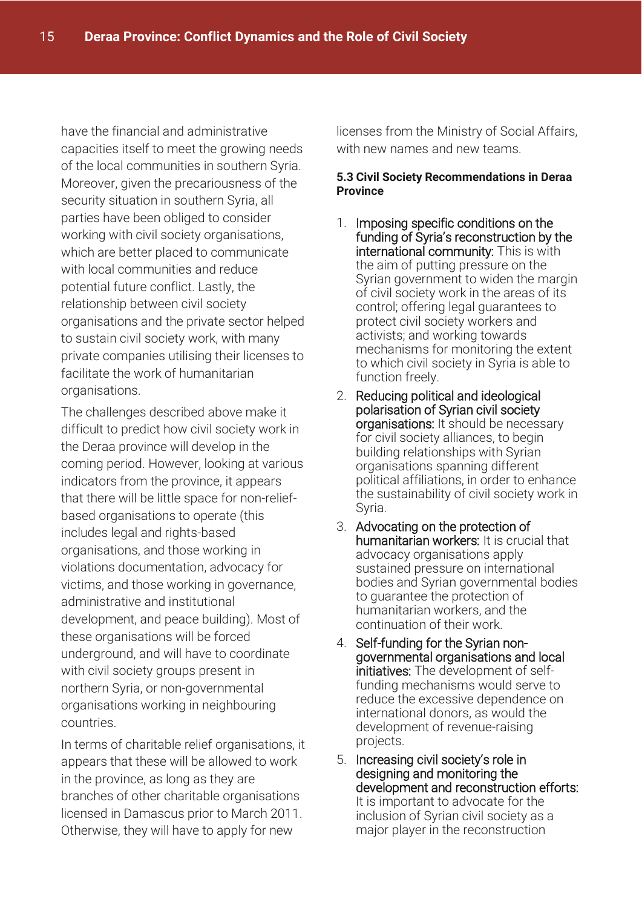have the financial and administrative capacities itself to meet the growing needs of the local communities in southern Syria. Moreover, given the precariousness of the security situation in southern Syria, all parties have been obliged to consider working with civil society organisations, which are better placed to communicate with local communities and reduce potential future conflict. Lastly, the relationship between civil society organisations and the private sector helped to sustain civil society work, with many private companies utilising their licenses to facilitate the work of humanitarian organisations.

The challenges described above make it difficult to predict how civil society work in the Deraa province will develop in the coming period. However, looking at various indicators from the province, it appears that there will be little space for non-reliefbased organisations to operate (this includes legal and rights-based organisations, and those working in violations documentation, advocacy for victims, and those working in governance, administrative and institutional development, and peace building). Most of these organisations will be forced underground, and will have to coordinate with civil society groups present in northern Syria, or non-governmental organisations working in neighbouring countries.

In terms of charitable relief organisations, it appears that these will be allowed to work in the province, as long as they are branches of other charitable organisations licensed in Damascus prior to March 2011. Otherwise, they will have to apply for new

licenses from the Ministry of Social Affairs, with new names and new teams.

#### **5.3 Civil Society Recommendations in Deraa Province**

- 1. Imposing specific conditions on the funding of Syria's reconstruction by the international community: This is with the aim of putting pressure on the Syrian government to widen the margin of civil society work in the areas of its control; offering legal guarantees to protect civil society workers and activists; and working towards mechanisms for monitoring the extent to which civil society in Syria is able to function freely.
- 2. Reducing political and ideological polarisation of Syrian civil society organisations: It should be necessary for civil society alliances, to begin building relationships with Syrian organisations spanning different political affiliations, in order to enhance the sustainability of civil society work in Syria.
- 3. Advocating on the protection of humanitarian workers: It is crucial that advocacy organisations apply sustained pressure on international bodies and Syrian governmental bodies to guarantee the protection of humanitarian workers, and the continuation of their work.
- 4. Self-funding for the Syrian nongovernmental organisations and local initiatives: The development of selffunding mechanisms would serve to reduce the excessive dependence on international donors, as would the development of revenue-raising projects.
- 5. Increasing civil society's role in designing and monitoring the development and reconstruction efforts: It is important to advocate for the inclusion of Syrian civil society as a major player in the reconstruction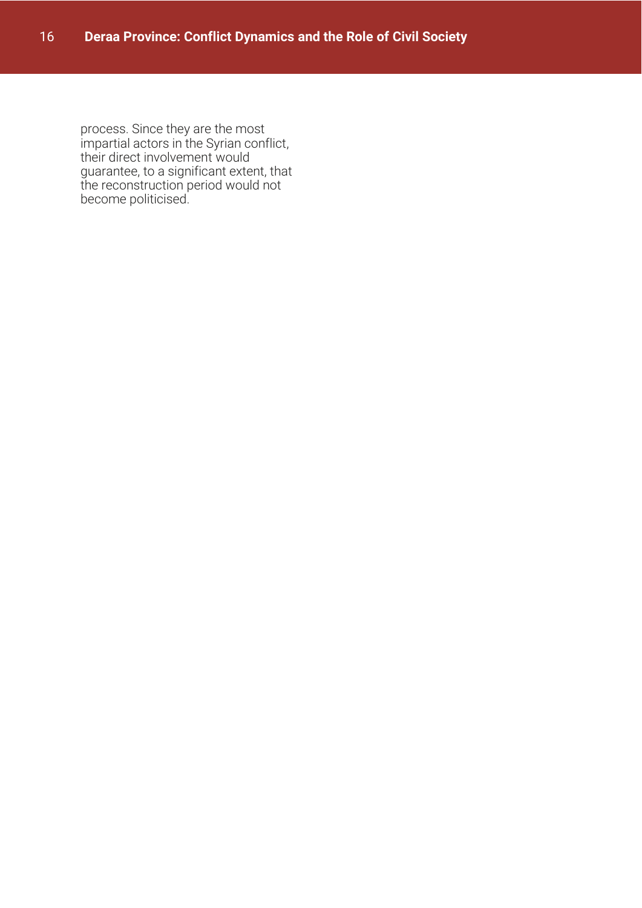process. Since they are the most impartial actors in the Syrian conflict, their direct involvement would guarantee, to a significant extent, that the reconstruction period would not become politicised.